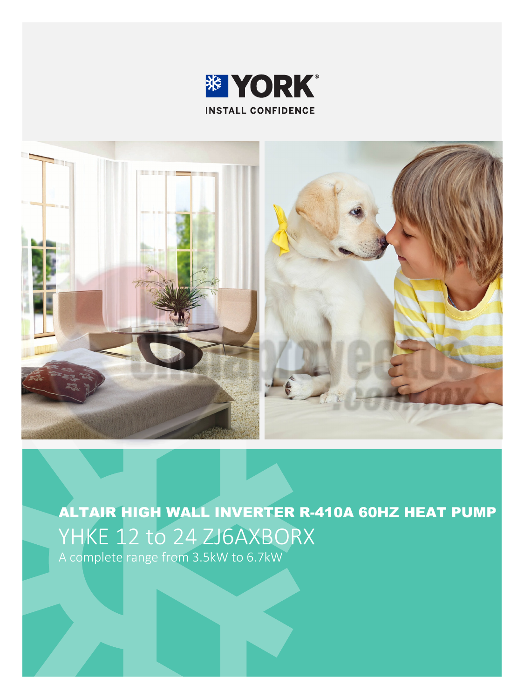



ALTAIR HIGH WALL INVERTER R-410A 60HZ HEAT PUMP YHKE 12 to 24 ZJ6AXBORX A complete range from 3.5kW to 6.7kW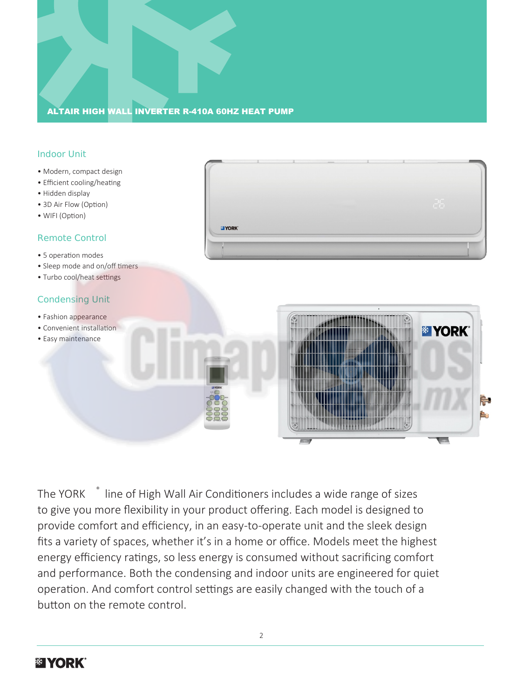# ALTAIR HIGH WALL INVERTER R-410A 60HZ HEAT PUMP

# Indoor Unit

- Modern, compact design
- Efficient cooling/heating
- Hidden display
- 3D Air Flow (Option)
- WIFI (Option)

## Remote Control

- 5 operation modes
- Sleep mode and on/off timers
- Turbo cool/heat settings

## Condensing Unit

- Fashion appearance
- Convenient installation
- Easy maintenance





The YORK ® line of High Wall Air Conditioners includes a wide range of sizes to give you more flexibility in your product offering. Each model is designed to provide comfort and efficiency, in an easy-to-operate unit and the sleek design fits a variety of spaces, whether it's in a home or office. Models meet the highest energy efficiency ratings, so less energy is consumed without sacrificing comfort and performance. Both the condensing and indoor units are engineered for quiet operation. And comfort control settings are easily changed with the touch of a button on the remote control.

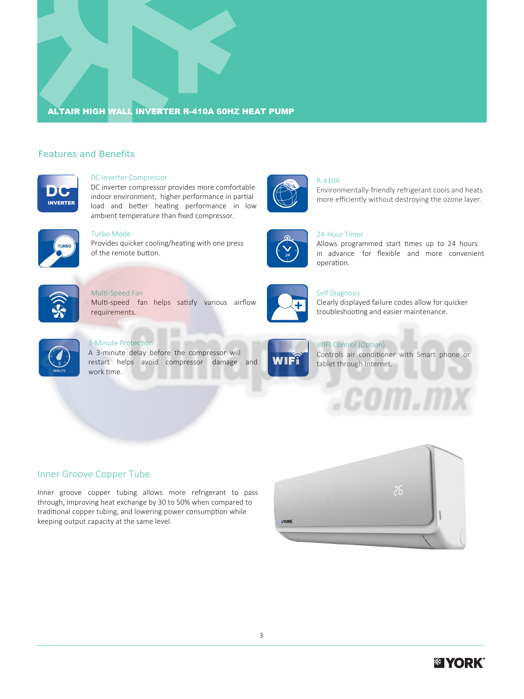# ALTAIR HIGH WALL INVERTER R-410A 60HZ HEAT PUMP

## Features and Benefits



#### DC Inverter Compressor

DC inverter compressor provides more comfortable indoor environment, higher performance in partial load and better heating performance in low ambient temperature than fixed compressor.



Turbo Mode

Provides quicker cooling/heating with one press of the remote button.



### Multi-Speed Fan Multi-speed fan helps satisfy various airflow requirements.





## Self Diagnosis

operation.

R-410A

24-Hour Timer

Clearly displayed failure codes allow for quicker troubleshooting and easier maintenance.

Allows programmed start times up to 24 hours in advance for flexible and more convenient

Environmentally-friendly refrigerant cools and heats more efficiently without destroying the ozone layer.



# 3-Minute Protection

A 3-minute delay before the compressor will restart helps avoid compressor damage and work time.



WIFI Control (Option) Controls air conditioner with Smart phone or tablet through Internet.

COM . I

## Inner Groove Copper Tube

Inner groove copper tubing allows more refrigerant to pass through, improving heat exchange by 30 to 50% when compared to traditional copper tubing, and lowering power consumption while keeping output capacity at the same level.